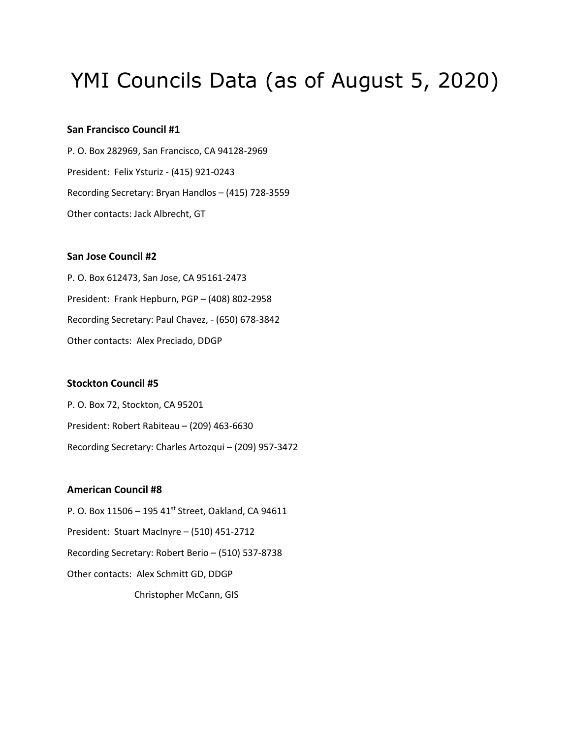# YMI Councils Data (as of August 5, 2020)

# **San Francisco Council #1**

P. O. Box 282969, San Francisco, CA 94128-2969 President: Felix Ysturiz - (415) 921-0243 Recording Secretary: Bryan Handlos – (415) 728-3559 Other contacts: Jack Albrecht, GT

# **San Jose Council #2**

P. O. Box 612473, San Jose, CA 95161-2473 President: Frank Hepburn, PGP – (408) 802-2958 Recording Secretary: Paul Chavez, - (650) 678-3842 Other contacts: Alex Preciado, DDGP

# **Stockton Council #5**

P. O. Box 72, Stockton, CA 95201 President: Robert Rabiteau – (209) 463-6630 Recording Secretary: Charles Artozqui – (209) 957-3472

#### **American Council #8**

P. O. Box 11506 - 195 41<sup>st</sup> Street, Oakland, CA 94611 President: Stuart MacInyre – (510) 451-2712 Recording Secretary: Robert Berio – (510) 537-8738 Other contacts: Alex Schmitt GD, DDGP Christopher McCann, GIS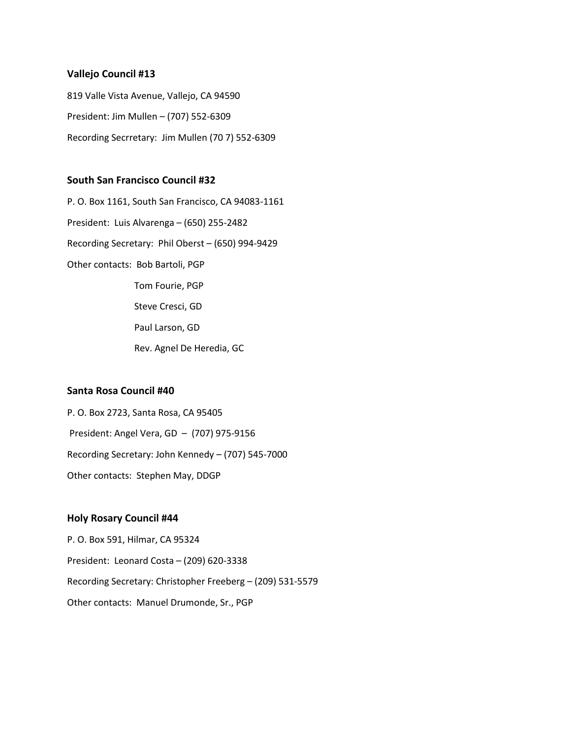## **Vallejo Council #13**

819 Valle Vista Avenue, Vallejo, CA 94590 President: Jim Mullen – (707) 552-6309 Recording Secrretary: Jim Mullen (70 7) 552-6309

## **South San Francisco Council #32**

P. O. Box 1161, South San Francisco, CA 94083-1161 President: Luis Alvarenga – (650) 255-2482 Recording Secretary: Phil Oberst – (650) 994-9429 Other contacts: Bob Bartoli, PGP Tom Fourie, PGP Steve Cresci, GD Paul Larson, GD Rev. Agnel De Heredia, GC

# **Santa Rosa Council #40**

P. O. Box 2723, Santa Rosa, CA 95405 President: Angel Vera, GD – (707) 975-9156 Recording Secretary: John Kennedy – (707) 545-7000 Other contacts: Stephen May, DDGP

# **Holy Rosary Council #44**

P. O. Box 591, Hilmar, CA 95324 President: Leonard Costa – (209) 620-3338 Recording Secretary: Christopher Freeberg – (209) 531-5579 Other contacts: Manuel Drumonde, Sr., PGP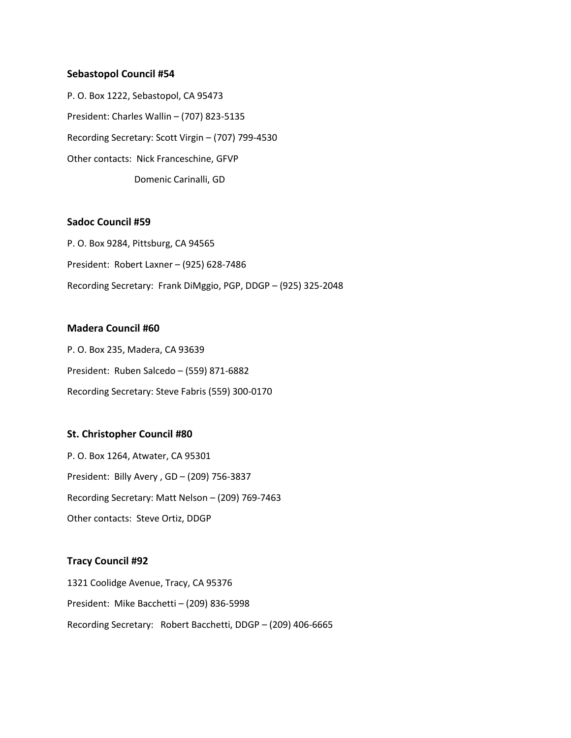#### **Sebastopol Council #54**

P. O. Box 1222, Sebastopol, CA 95473 President: Charles Wallin – (707) 823-5135 Recording Secretary: Scott Virgin – (707) 799-4530 Other contacts: Nick Franceschine, GFVP Domenic Carinalli, GD

# **Sadoc Council #59**

P. O. Box 9284, Pittsburg, CA 94565 President: Robert Laxner – (925) 628-7486 Recording Secretary: Frank DiMggio, PGP, DDGP – (925) 325-2048

# **Madera Council #60**

P. O. Box 235, Madera, CA 93639 President: Ruben Salcedo – (559) 871-6882 Recording Secretary: Steve Fabris (559) 300-0170

#### **St. Christopher Council #80**

P. O. Box 1264, Atwater, CA 95301 President: Billy Avery , GD – (209) 756-3837 Recording Secretary: Matt Nelson – (209) 769-7463 Other contacts: Steve Ortiz, DDGP

#### **Tracy Council #92**

1321 Coolidge Avenue, Tracy, CA 95376 President: Mike Bacchetti – (209) 836-5998 Recording Secretary: Robert Bacchetti, DDGP – (209) 406-6665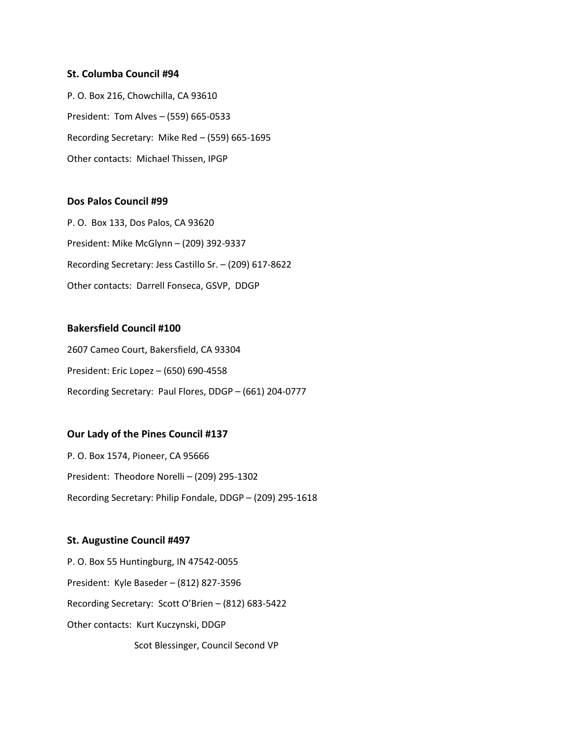#### **St. Columba Council #94**

P. O. Box 216, Chowchilla, CA 93610 President: Tom Alves – (559) 665-0533 Recording Secretary: Mike Red – (559) 665-1695 Other contacts: Michael Thissen, IPGP

# **Dos Palos Council #99**

P. O. Box 133, Dos Palos, CA 93620 President: Mike McGlynn – (209) 392-9337 Recording Secretary: Jess Castillo Sr. – (209) 617-8622 Other contacts: Darrell Fonseca, GSVP, DDGP

# **Bakersfield Council #100**

2607 Cameo Court, Bakersfield, CA 93304 President: Eric Lopez – (650) 690-4558 Recording Secretary: Paul Flores, DDGP – (661) 204-0777

#### **Our Lady of the Pines Council #137**

P. O. Box 1574, Pioneer, CA 95666 President: Theodore Norelli – (209) 295-1302 Recording Secretary: Philip Fondale, DDGP – (209) 295-1618

#### **St. Augustine Council #497**

P. O. Box 55 Huntingburg, IN 47542-0055 President: Kyle Baseder – (812) 827-3596 Recording Secretary: Scott O'Brien – (812) 683-5422 Other contacts: Kurt Kuczynski, DDGP Scot Blessinger, Council Second VP